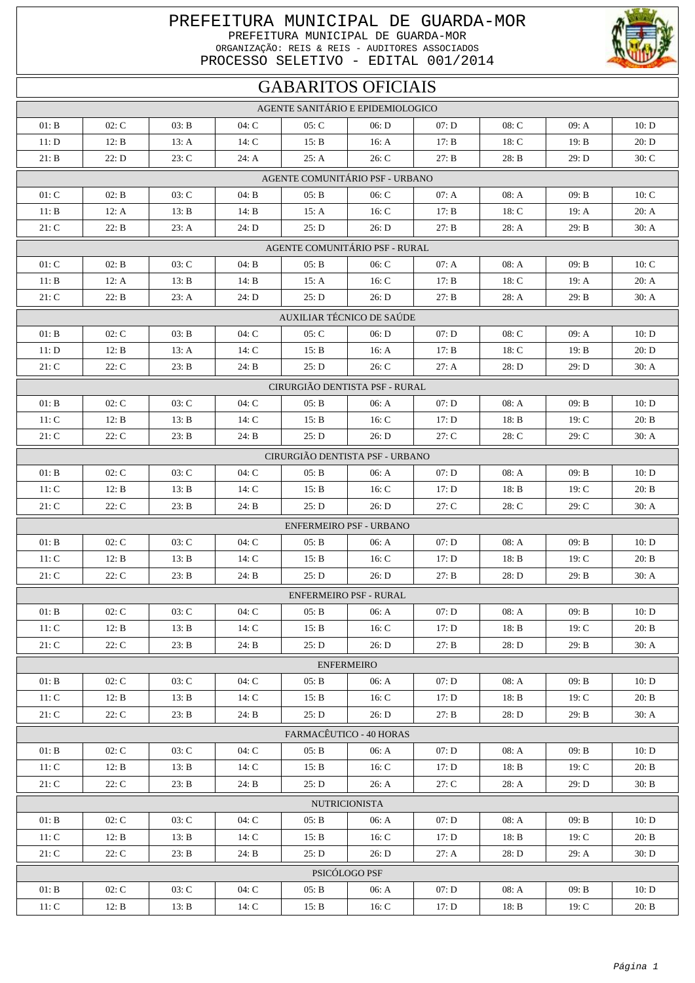## PREFEITURA MUNICIPAL DE GUARDA-MOR PREFEITURA MUNICIPAL DE GUARDA-MOR ORGANIZAÇÃO: REIS & REIS - AUDITORES ASSOCIADOS PROCESSO SELETIVO - EDITAL 001/2014

## GABARITOS OFICIAIS

| AGENTE SANITÁRIO E EPIDEMIOLOGICO                                                                             |                |                |                  |                |                                 |                |                  |                |                |  |  |
|---------------------------------------------------------------------------------------------------------------|----------------|----------------|------------------|----------------|---------------------------------|----------------|------------------|----------------|----------------|--|--|
|                                                                                                               |                |                |                  |                |                                 |                |                  |                |                |  |  |
| 01: B<br>11: D                                                                                                | 02: C<br>12: B | 03: B<br>13: A | $04:$ C<br>14: C | 05: C<br>15: B | 06: D<br>16: A                  | 07: D<br>17: B | $08:$ C<br>18: C | 09: A<br>19: B | 10: D<br>20: D |  |  |
| 21: B                                                                                                         | 22: D          | 23: C          |                  | 25: A          | 26: C                           | 27: B          |                  | 29: D          | 30: C          |  |  |
|                                                                                                               |                |                | 24: A            |                |                                 |                | 28: B            |                |                |  |  |
|                                                                                                               |                |                |                  |                | AGENTE COMUNITÁRIO PSF - URBANO |                |                  |                |                |  |  |
| 01: C                                                                                                         | 02: B          | 03: C          | 04: B            | 05: B          | 06: C                           | 07: A          | 08: A            | 09: B          | 10: C          |  |  |
| 11: B                                                                                                         | 12: A          | 13: B          | 14: B            | 15: A          | 16: C                           | 17: B          | 18: C            | 19: A          | 20: A          |  |  |
| 21: C                                                                                                         | 22: B          | 23: A          | 24: D            | 25: D          | 26: D                           | 27: B          | 28: A            | 29: B          | 30: A          |  |  |
| AGENTE COMUNITÁRIO PSF - RURAL                                                                                |                |                |                  |                |                                 |                |                  |                |                |  |  |
| 01: C                                                                                                         | 02: B          | 03: C          | 04: B            | 05: B          | 06: C                           | 07: A          | 08: A            | 09: B          | 10: C          |  |  |
| 11: B                                                                                                         | 12: A          | 13: B          | 14: B            | 15: A          | 16: C                           | 17: B          | 18: C            | 19: A          | 20: A          |  |  |
| 21: C                                                                                                         | 22: B          | 23: A          | 24: D            | 25: D          | 26: D                           | 27: B          | 28: A            | 29: B          | 30: A          |  |  |
| AUXILIAR TÉCNICO DE SAÚDE                                                                                     |                |                |                  |                |                                 |                |                  |                |                |  |  |
| 01: B                                                                                                         | 02: C          | 03: B          | 04: C            | 05: C          | 06: D                           | 07: D          | $08:$ C          | 09: A          | 10: D          |  |  |
| 11: D                                                                                                         | 12: B          | 13: A          | 14: C            | 15: B          | 16: A                           | 17: B          | 18: C            | 19: B          | 20: D          |  |  |
| 21: C                                                                                                         | 22: C          | 23: B          | 24: B            | 25: D          | 26: C                           | 27: A          | 28: D            | 29: D          | 30: A          |  |  |
|                                                                                                               |                |                |                  |                | CIRURGIÃO DENTISTA PSF - RURAL  |                |                  |                |                |  |  |
| 01: B                                                                                                         | 02: C          | 03: C          | 04: C            | 05: B          | 06: A                           | 07: D          | 08: A            | 09: B          | 10: D          |  |  |
| 11: C                                                                                                         | 12: B          | 13: B          | 14: C            | 15: B          | 16: C                           | 17: D          | 18: B            | 19: C          | 20: B          |  |  |
| 21: C                                                                                                         | 22: C          | 23: B          | 24: B            | 25: D          | 26: D                           | 27: C          | 28: C            | 29: C          | 30: A          |  |  |
|                                                                                                               |                |                |                  |                | CIRURGIÃO DENTISTA PSF - URBANO |                |                  |                |                |  |  |
|                                                                                                               |                |                |                  |                |                                 |                |                  |                |                |  |  |
| 01: B                                                                                                         | 02: C          | 03: C          | 04: C            | 05: B          | 06: A                           | 07: D          | 08: A            | 09: B          | 10: D          |  |  |
| 11: C<br>21: C                                                                                                | 12: B<br>22: C | 13: B<br>23: B | 14: C<br>24: B   | 15: B<br>25: D | 16: C<br>26: D                  | 17: D<br>27: C | 18: B<br>28: C   | 19: C<br>29: C | 20: B<br>30: A |  |  |
|                                                                                                               |                |                |                  |                |                                 |                |                  |                |                |  |  |
|                                                                                                               |                |                |                  |                | <b>ENFERMEIRO PSF - URBANO</b>  |                |                  |                |                |  |  |
| 01: B                                                                                                         | 02: C          | 03: C          | 04: C            | 05: B          | 06: A                           | 07: D          | 08: A            | 09: B          | 10: D          |  |  |
| 11: C                                                                                                         | 12: B          | 13: B          | 14: C            | 15: B          | 16: C                           | 17: D          | 18: B            | 19: C          | 20: B          |  |  |
| 21: C                                                                                                         | 22: C          | 23: B          | 24: B            | 25: D          | 26: D                           | 27: B          | 28: D            | 29: B          | 30: A          |  |  |
|                                                                                                               |                |                |                  |                | <b>ENFERMEIRO PSF - RURAL</b>   |                |                  |                |                |  |  |
| 01: B                                                                                                         | 02: C          | 03: C          | 04: C            | 05: B          | 06: A                           | 07: D          | 08: A            | 09: B          | 10: D          |  |  |
| 11: C                                                                                                         | 12: B          | 13: B          | 14: C            | 15: B          | 16: $C$                         | 17: D          | 18: B            | 19: C          | 20: B          |  |  |
| 21: C                                                                                                         | 22: C          | 23: B          | 24: B            | 25: D          | 26: D                           | 27: B          | 28: D            | 29: B          | 30: A          |  |  |
|                                                                                                               |                |                |                  |                | <b>ENFERMEIRO</b>               |                |                  |                |                |  |  |
| 01: B                                                                                                         | 02: C          | 03: C          | 04:C             | 05: B          | 06: A                           | 07: D          | 08: A            | 09: B          | 10: D          |  |  |
| 11: C                                                                                                         | 12: B          | 13: B          | 14: $C$          | 15: B          | 16: $C$                         | 17: D          | 18: B            | 19: C          | 20: B          |  |  |
| 21: C                                                                                                         | 22: C          | 23: B          | 24: B            | 25: D          | 26: D                           | 27: B          | 28: D            | 29: B          | 30: A          |  |  |
|                                                                                                               |                |                |                  |                | FARMACÊUTICO - 40 HORAS         |                |                  |                |                |  |  |
| 01: B                                                                                                         | 02: C          | 03: C          | 04:C             | 05: B          | 06: A                           | 07: D          | 08: A            | 09: B          | 10: D          |  |  |
| 11: C                                                                                                         | 12: B          | 13: B          | 14: $C$          | 15: B          | 16: $C$                         | 17: D          | 18: B            | 19: C          | 20: B          |  |  |
| 21: C                                                                                                         | 22: C          | 23: B          | 24: B            | 25: D          | 26: A                           | 27: C          | 28: A            | 29: D          | 30: B          |  |  |
|                                                                                                               |                |                |                  |                |                                 |                |                  |                |                |  |  |
| <b>NUTRICIONISTA</b><br>02: C<br>01: B<br>03: C<br>04:C<br>05: B<br>06: A<br>07: D<br>08: A<br>09: B<br>10: D |                |                |                  |                |                                 |                |                  |                |                |  |  |
| 11: C                                                                                                         | 12: B          | 13: B          | 14: C            | 15: B          | 16: C                           | 17: D          | 18: B            | 19: C          | 20: B          |  |  |
| 21: C                                                                                                         | 22: C          | 23: B          | 24: B            | 25: D          | 26: D                           | 27: A          | 28: D            | 29: A          | 30: D          |  |  |
|                                                                                                               |                |                |                  |                |                                 |                |                  |                |                |  |  |
| PSICÓLOGO PSF                                                                                                 |                |                |                  |                |                                 |                |                  |                |                |  |  |
| 01: B                                                                                                         | 02: C          | 03: C          | 04: C            | 05: B          | 06: A                           | 07: D          | 08: A            | 09: B          | 10: D          |  |  |
| 11: C                                                                                                         | 12: B          | 13: B          | 14: C            | 15: B          | 16: C                           | 17: D          | 18: B            | 19: C          | 20: B          |  |  |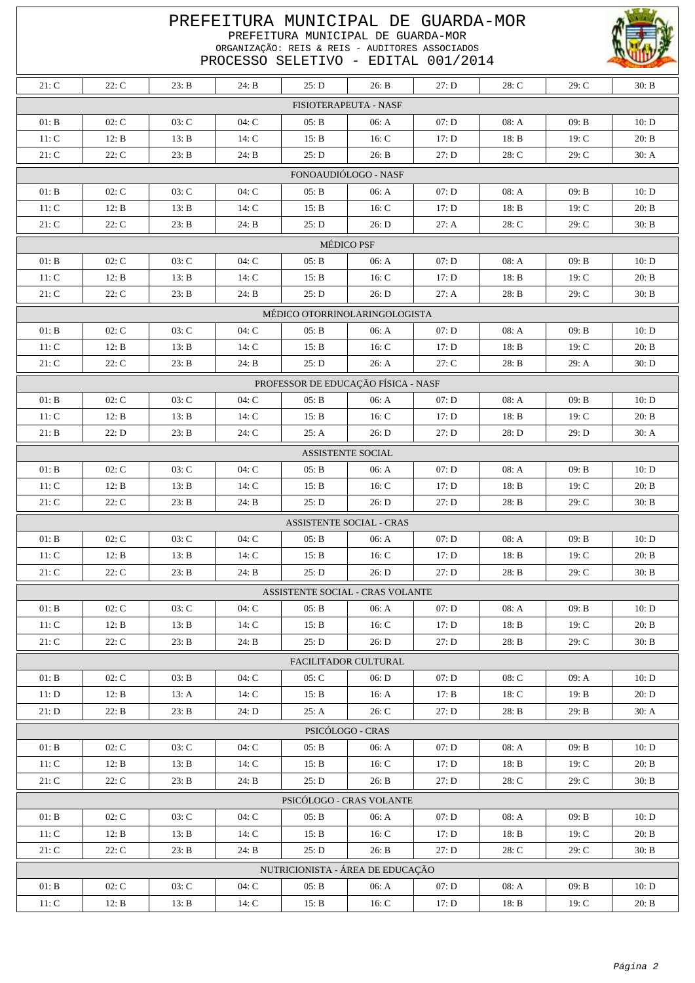| PREFEITURA MUNICIPAL DE GUARDA-MOR<br>PREFEITURA MUNICIPAL DE GUARDA-MOR<br>ORGANIZAÇÃO: REIS & REIS - AUDITORES ASSOCIADOS<br>PROCESSO SELETIVO - EDITAL 001/2014 |                                  |         |       |       |                                  |       |         |       |       |  |  |  |
|--------------------------------------------------------------------------------------------------------------------------------------------------------------------|----------------------------------|---------|-------|-------|----------------------------------|-------|---------|-------|-------|--|--|--|
| 21: C                                                                                                                                                              | 22: C                            | 23: B   | 24: B | 25: D | 26: B                            | 27: D | 28: C   | 29: C | 30: B |  |  |  |
|                                                                                                                                                                    |                                  |         |       |       | FISIOTERAPEUTA - NASF            |       |         |       |       |  |  |  |
| 01: B                                                                                                                                                              | 02: C                            | 03: C   | 04: C | 05: B | 06: A                            | 07: D | 08: A   | 09: B | 10: D |  |  |  |
| 11: C                                                                                                                                                              | 12: B                            | 13: B   | 14: C | 15: B | 16: C                            | 17: D | 18: B   | 19: C | 20: B |  |  |  |
| 21: C                                                                                                                                                              | 22: C                            | 23: B   | 24: B | 25: D | 26: B                            | 27: D | 28: C   | 29: C | 30: A |  |  |  |
| FONOAUDIÓLOGO - NASF                                                                                                                                               |                                  |         |       |       |                                  |       |         |       |       |  |  |  |
| 01: B                                                                                                                                                              | 02: C                            | 03: C   | 04: C | 05: B | 06: A                            | 07: D | 08: A   | 09: B | 10: D |  |  |  |
| 11: C                                                                                                                                                              | 12: B                            | 13: B   | 14: C | 15: B | 16: C                            | 17: D | 18: B   | 19: C | 20: B |  |  |  |
| 21: C                                                                                                                                                              | 22: C                            | 23: B   | 24: B | 25: D | 26: D                            | 27: A | 28: C   | 29: C | 30: B |  |  |  |
|                                                                                                                                                                    |                                  |         |       |       | <b>MÉDICO PSF</b>                |       |         |       |       |  |  |  |
| 01: B                                                                                                                                                              | 02: C                            | 03: C   | 04:C  | 05: B | 06: A                            | 07: D | 08: A   | 09: B | 10: D |  |  |  |
| 11: C                                                                                                                                                              | 12: B                            | 13: B   | 14: C | 15: B | 16: C                            | 17: D | 18: B   | 19: C | 20: B |  |  |  |
| 21: C                                                                                                                                                              | 22: C                            | 23: B   | 24: B | 25: D | 26: D                            | 27: A | 28: B   | 29: C | 30: B |  |  |  |
|                                                                                                                                                                    | MÉDICO OTORRINOLARINGOLOGISTA    |         |       |       |                                  |       |         |       |       |  |  |  |
| 01: B                                                                                                                                                              | 02: C                            | $03:$ C | 04:C  | 05: B | 06: A                            | 07: D | 08: A   | 09: B | 10: D |  |  |  |
| 11: C                                                                                                                                                              | 12: B                            | 13: B   | 14: C | 15: B | 16: C                            | 17: D | 18: B   | 19: C | 20: B |  |  |  |
| 21: C                                                                                                                                                              | 22: C                            | 23: B   | 24: B | 25: D | 26: A                            | 27: C | 28: B   | 29: A | 30: D |  |  |  |
| PROFESSOR DE EDUCAÇÃO FÍSICA - NASF                                                                                                                                |                                  |         |       |       |                                  |       |         |       |       |  |  |  |
| 01: B                                                                                                                                                              | 02: C                            | 03: C   | 04: C | 05: B | 06: A                            | 07: D | 08: A   | 09: B | 10: D |  |  |  |
| 11: C                                                                                                                                                              | 12: B                            | 13: B   | 14: C | 15: B | 16: C                            | 17: D | 18: B   | 19: C | 20: B |  |  |  |
| 21: B                                                                                                                                                              | 22: D                            | 23: B   | 24: C | 25: A | 26: D                            | 27: D | 28: D   | 29: D | 30: A |  |  |  |
|                                                                                                                                                                    |                                  |         |       |       | <b>ASSISTENTE SOCIAL</b>         |       |         |       |       |  |  |  |
| 01: B                                                                                                                                                              | 02: C                            | $03:$ C | 04:C  | 05: B | 06: A                            | 07: D | 08: A   | 09: B | 10: D |  |  |  |
| 11: C                                                                                                                                                              | 12: B                            | 13: B   | 14: C | 15: B | 16: C                            | 17: D | 18: B   | 19: C | 20: B |  |  |  |
| 21: C                                                                                                                                                              | 22: C                            | 23: B   | 24: B | 25: D | 26: D                            | 27: D | 28: B   | 29: C | 30: B |  |  |  |
|                                                                                                                                                                    |                                  |         |       |       | <b>ASSISTENTE SOCIAL - CRAS</b>  |       |         |       |       |  |  |  |
| 01: B                                                                                                                                                              | 02: C                            | 03: C   | 04: C | 05: B | 06: A                            | 07: D | 08: A   | 09: B | 10: D |  |  |  |
| 11: C                                                                                                                                                              | 12: B                            | 13: B   | 14: C | 15: B | 16: C                            | 17: D | 18: B   | 19: C | 20: B |  |  |  |
| 21: C                                                                                                                                                              | 22: C                            | 23: B   | 24: B | 25: D | 26: D                            | 27: D | 28: B   | 29: C | 30: B |  |  |  |
|                                                                                                                                                                    |                                  |         |       |       | ASSISTENTE SOCIAL - CRAS VOLANTE |       |         |       |       |  |  |  |
| 01: B                                                                                                                                                              | 02: C                            | 03: C   | 04: C | 05: B | 06: A                            | 07: D | 08: A   | 09: B | 10: D |  |  |  |
| 11: C                                                                                                                                                              | 12: B                            | 13: B   | 14: C | 15: B | 16: C                            | 17: D | 18: B   | 19: C | 20: B |  |  |  |
| 21: C                                                                                                                                                              | 22: C                            | 23: B   | 24: B | 25: D | 26: D                            | 27: D | 28: B   | 29: C | 30: B |  |  |  |
|                                                                                                                                                                    |                                  |         |       |       | <b>FACILITADOR CULTURAL</b>      |       |         |       |       |  |  |  |
| 01: B                                                                                                                                                              | 02: C                            | 03: B   | 04: C | 05: C | 06: D                            | 07: D | $08:$ C | 09: A | 10: D |  |  |  |
| 11: D                                                                                                                                                              | 12: B                            | 13: A   | 14: C | 15: B | 16: A                            | 17: B | 18: C   | 19: B | 20: D |  |  |  |
| 21: D                                                                                                                                                              | 22: B                            | 23: B   | 24: D | 25: A | 26: C                            | 27: D | 28: B   | 29: B | 30: A |  |  |  |
|                                                                                                                                                                    | PSICÓLOGO - CRAS                 |         |       |       |                                  |       |         |       |       |  |  |  |
| 01: B                                                                                                                                                              | 02: C                            | 03: C   | 04: C | 05: B | 06: A                            | 07: D | 08: A   | 09: B | 10: D |  |  |  |
| 11: C                                                                                                                                                              | 12: B                            | 13: B   | 14: C | 15: B | 16: C                            | 17: D | 18: B   | 19: C | 20: B |  |  |  |
| $21:$ $\rm C$                                                                                                                                                      | 22: C                            | 23: B   | 24: B | 25: D | 26: B                            | 27: D | 28: C   | 29: C | 30: B |  |  |  |
| PSICÓLOGO - CRAS VOLANTE                                                                                                                                           |                                  |         |       |       |                                  |       |         |       |       |  |  |  |
| 01: B                                                                                                                                                              | 02: C                            | 03: C   | 04: C | 05: B | 06: A                            | 07: D | 08: A   | 09: B | 10: D |  |  |  |
| 11: C                                                                                                                                                              | 12: B                            | 13: B   | 14: C | 15: B | 16: C                            | 17: D | 18: B   | 19: C | 20: B |  |  |  |
| 21: C                                                                                                                                                              | 22: C                            | 23: B   | 24: B | 25: D | 26: B                            | 27: D | 28: C   | 29: C | 30: B |  |  |  |
|                                                                                                                                                                    | NUTRICIONISTA - ÁREA DE EDUCAÇÃO |         |       |       |                                  |       |         |       |       |  |  |  |
| 01: B                                                                                                                                                              | 02: C                            | 03: C   | 04: C | 05: B | 06: A                            | 07: D | 08: A   | 09: B | 10: D |  |  |  |
| 11: C                                                                                                                                                              | 12: B                            | 13: B   | 14: C | 15: B | 16: C                            | 17: D | 18: B   | 19: C | 20: B |  |  |  |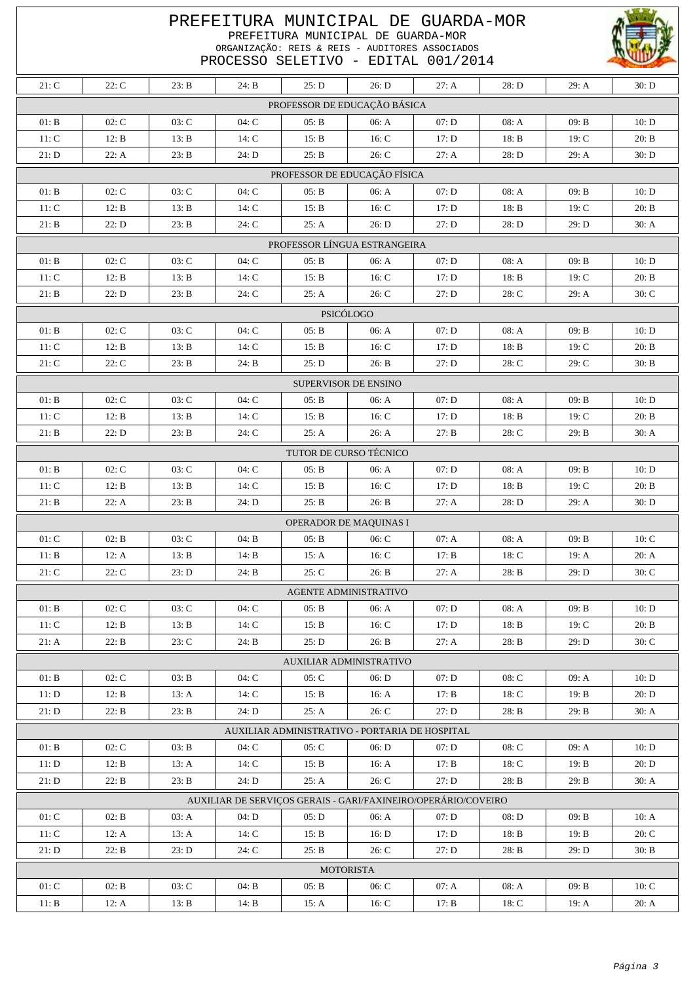| PREFEITURA MUNICIPAL DE GUARDA-MOR<br>PREFEITURA MUNICIPAL DE GUARDA-MOR<br>ORGANIZAÇÃO: REIS & REIS - AUDITORES ASSOCIADOS<br>PROCESSO SELETIVO - EDITAL 001/2014 |       |       |         |       |                                |       |         |       |         |  |  |
|--------------------------------------------------------------------------------------------------------------------------------------------------------------------|-------|-------|---------|-------|--------------------------------|-------|---------|-------|---------|--|--|
| 21: C                                                                                                                                                              | 22: C | 23: B | 24: B   | 25: D | 26: D                          | 27: A | 28: D   | 29: A | 30: D   |  |  |
|                                                                                                                                                                    |       |       |         |       | PROFESSOR DE EDUCAÇÃO BÁSICA   |       |         |       |         |  |  |
| 01: B                                                                                                                                                              | 02: C | 03: C | 04: C   | 05: B | 06: A                          | 07: D | 08: A   | 09: B | 10: D   |  |  |
| 11: C                                                                                                                                                              | 12: B | 13: B | 14: C   | 15: B | 16: C                          | 17: D | 18: B   | 19: C | 20: B   |  |  |
| 21: D                                                                                                                                                              | 22: A | 23: B | 24: D   | 25: B | 26: C                          | 27: A | 28: D   | 29: A | 30: D   |  |  |
| PROFESSOR DE EDUCAÇÃO FÍSICA                                                                                                                                       |       |       |         |       |                                |       |         |       |         |  |  |
| 01: B                                                                                                                                                              | 02: C | 03: C | 04: C   | 05: B | 06: A                          | 07: D | 08: A   | 09: B | 10: D   |  |  |
| 11: C                                                                                                                                                              | 12: B | 13: B | 14: C   | 15: B | 16: C                          | 17: D | 18: B   | 19: C | 20: B   |  |  |
| 21: B                                                                                                                                                              | 22: D | 23: B | 24: C   | 25: A | 26: D                          | 27: D | 28: D   | 29: D | 30: A   |  |  |
|                                                                                                                                                                    |       |       |         |       | PROFESSOR LÍNGUA ESTRANGEIRA   |       |         |       |         |  |  |
| 01: B                                                                                                                                                              | 02: C | 03: C | 04: C   | 05: B | 06: A                          | 07: D | 08: A   | 09: B | 10: D   |  |  |
| 11: C                                                                                                                                                              | 12: B | 13: B | 14: C   | 15: B | 16: C                          | 17: D | 18: B   | 19: C | 20: B   |  |  |
| 21: B                                                                                                                                                              | 22: D | 23: B | 24: C   | 25: A | 26: C                          | 27: D | 28: C   | 29: A | 30: C   |  |  |
|                                                                                                                                                                    |       |       |         |       | PSICÓLOGO                      |       |         |       |         |  |  |
| 01: B                                                                                                                                                              | 02: C | 03: C | 04: C   | 05: B | 06: A                          | 07: D | 08: A   | 09: B | 10: D   |  |  |
| 11: C                                                                                                                                                              | 12: B | 13: B | 14: C   | 15: B | 16: C                          | 17: D | 18: B   | 19: C | 20: B   |  |  |
| 21: C                                                                                                                                                              | 22: C | 23: B | 24: B   | 25: D | 26: B                          | 27: D | 28: C   | 29: C | 30: B   |  |  |
| SUPERVISOR DE ENSINO                                                                                                                                               |       |       |         |       |                                |       |         |       |         |  |  |
| 01: B                                                                                                                                                              | 02: C | 03: C | 04: C   | 05: B | 06: A                          | 07: D | 08: A   | 09: B | 10: D   |  |  |
| 11: C                                                                                                                                                              | 12: B | 13: B | 14: C   | 15: B | 16: C                          | 17: D | 18: B   | 19: C | 20: B   |  |  |
| 21: B                                                                                                                                                              | 22: D | 23: B | 24: C   | 25: A | 26: A                          | 27: B | 28: C   | 29: B | 30: A   |  |  |
|                                                                                                                                                                    |       |       |         |       | TUTOR DE CURSO TÉCNICO         |       |         |       |         |  |  |
| 01: B                                                                                                                                                              | 02: C | 03: C | $04:$ C | 05: B | 06: A                          | 07: D | 08: A   | 09: B | 10: D   |  |  |
| 11: C                                                                                                                                                              | 12: B | 13: B | 14: C   | 15: B | 16: C                          | 17: D | 18: B   | 19: C | 20: B   |  |  |
| 21: B                                                                                                                                                              | 22: A | 23: B | 24: D   | 25: B | 26: B                          | 27: A | 28: D   | 29: A | 30: D   |  |  |
|                                                                                                                                                                    |       |       |         |       | OPERADOR DE MAQUINAS I         |       |         |       |         |  |  |
| 01: C                                                                                                                                                              | 02: B | 03: C | 04: B   | 05: B | 06: C                          | 07: A | 08: A   | 09: B | 10: C   |  |  |
| 11: B                                                                                                                                                              | 12: A | 13: B | 14: B   | 15: A | 16: C                          | 17: B | 18: C   | 19: A | 20: A   |  |  |
| 21: C                                                                                                                                                              | 22: C | 23: D | 24: B   | 25: C | 26: B                          | 27: A | 28: B   | 29: D | $30:$ C |  |  |
|                                                                                                                                                                    |       |       |         |       | <b>AGENTE ADMINISTRATIVO</b>   |       |         |       |         |  |  |
| 01: B                                                                                                                                                              | 02: C | 03: C | 04: C   | 05: B | 06: A                          | 07: D | 08: A   | 09: B | 10: D   |  |  |
| 11: C                                                                                                                                                              | 12: B | 13: B | 14: C   | 15: B | 16: C                          | 17: D | 18: B   | 19: C | 20: B   |  |  |
| 21: A                                                                                                                                                              | 22: B | 23: C | 24: B   | 25: D | 26: B                          | 27: A | 28: B   | 29: D | $30:$ C |  |  |
|                                                                                                                                                                    |       |       |         |       | <b>AUXILIAR ADMINISTRATIVO</b> |       |         |       |         |  |  |
| 01: B                                                                                                                                                              | 02: C | 03: B | 04: C   | 05: C | 06: D                          | 07: D | $08:$ C | 09: A | 10: D   |  |  |
| 11: D                                                                                                                                                              | 12: B | 13: A | 14: C   | 15: B | 16: A                          | 17: B | 18: C   | 19: B | 20: D   |  |  |
| 21: D                                                                                                                                                              | 22: B | 23: B | 24: D   | 25: A | 26: C                          | 27: D | 28: B   | 29: B | 30: A   |  |  |
| AUXILIAR ADMINISTRATIVO - PORTARIA DE HOSPITAL                                                                                                                     |       |       |         |       |                                |       |         |       |         |  |  |
| 01: B                                                                                                                                                              | 02: C | 03: B | 04:C    | 05: C | 06: D                          | 07: D | 08: C   | 09: A | 10: D   |  |  |
| 11: D                                                                                                                                                              | 12: B | 13: A | 14: C   | 15: B | 16: A                          | 17: B | 18: C   | 19: B | 20: D   |  |  |
| 21: D                                                                                                                                                              | 22: B | 23: B | 24: D   | 25: A | 26: C                          | 27: D | 28: B   | 29: B | 30: A   |  |  |
| AUXILIAR DE SERVIÇOS GERAIS - GARI/FAXINEIRO/OPERÁRIO/COVEIRO                                                                                                      |       |       |         |       |                                |       |         |       |         |  |  |
| 01: C                                                                                                                                                              | 02: B | 03: A | 04: D   | 05: D | 06: A                          | 07: D | 08: D   | 09: B | 10: A   |  |  |
| 11: C                                                                                                                                                              | 12: A | 13: A | 14: C   | 15: B | 16: D                          | 17: D | 18: B   | 19: B | 20: C   |  |  |
| 21: D                                                                                                                                                              | 22: B | 23: D | 24: C   | 25: B | 26: C                          | 27: D | 28: B   | 29: D | 30: B   |  |  |
| <b>MOTORISTA</b>                                                                                                                                                   |       |       |         |       |                                |       |         |       |         |  |  |
| 01: C                                                                                                                                                              | 02: B | 03: C | 04: B   | 05: B | 06: C                          | 07: A | 08: A   | 09: B | 10: C   |  |  |
| 11: B                                                                                                                                                              | 12: A | 13: B | 14: B   | 15: A | 16: C                          | 17: B | 18: C   | 19: A | 20: A   |  |  |